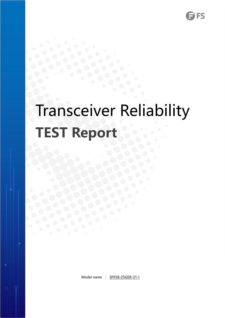# Transceiver Reliability **TEST Report**

Model name : SFP28-25GER-31-I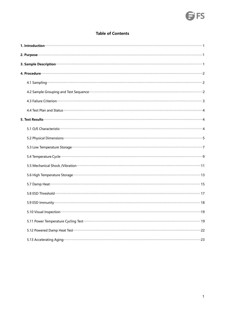# **SFS**

#### **Table of Contents**

| 1. Introduction <b>Constitution</b> and a proportional construction of the construction of the construction of the construction of the construction of the construction of the construction of the construction of the construction  |    |
|--------------------------------------------------------------------------------------------------------------------------------------------------------------------------------------------------------------------------------------|----|
| 2. Purpose <b>contract a construction of the construction of the construction of the construction of the construction of the construction of the construction of the construction of the construction of the construction of the</b> |    |
| 3. Sample Description <b>contract and the Contract of Contract and Contract and Contract and Contract and Contract and Contract and Contract and Contract and Contract and Contract and Contract and Contract and Contract and C</b> |    |
|                                                                                                                                                                                                                                      |    |
|                                                                                                                                                                                                                                      |    |
| 4.2 Sample Grouping and Test Sequence <b>Commission Commission Commission</b> 2                                                                                                                                                      |    |
| 4.3 Failure Criterion <b>Constitution</b> 3                                                                                                                                                                                          |    |
|                                                                                                                                                                                                                                      |    |
|                                                                                                                                                                                                                                      |    |
| 5.1 O/E Characteristic contraction and a support of the contract of the contract of the characteristic contract and                                                                                                                  |    |
|                                                                                                                                                                                                                                      |    |
|                                                                                                                                                                                                                                      |    |
|                                                                                                                                                                                                                                      |    |
| 5.5 Mechanical Shock /Vibration manufacture and content to the content of the content of the content of the content of the content of the content of the content of the content of the content of the content of the content o       |    |
|                                                                                                                                                                                                                                      |    |
|                                                                                                                                                                                                                                      |    |
|                                                                                                                                                                                                                                      |    |
|                                                                                                                                                                                                                                      |    |
| 5.10 Visual Inspection manufacture and Visual Inspection manufacture                                                                                                                                                                 | 19 |
|                                                                                                                                                                                                                                      |    |
| 5.12 Powered Damp Heat Test <b>contract contract of the Contract Contract Contract Contract Contract Contract Contract Contract Contract Contract Contract Contract Contract Contract Contract Contract Contract Contract Contra</b> |    |
| 5.13 Accelerating Aging <b>Constitution and Construction Construction</b> and Construction and Construction and Const                                                                                                                |    |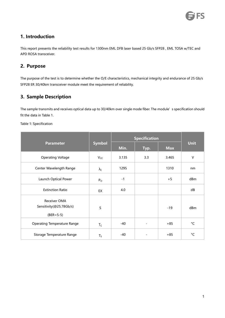# <span id="page-2-0"></span>**1. Introduction**

This report presents the reliability test results for 1300nm EML DFB laser based 25 Gb/s SFP28 , EML TOSA w/TEC and APD ROSA transceiver.

### <span id="page-2-1"></span>**2. Purpose**

The purpose of the test is to determine whether the O/E characteristics, mechanical integrity and endurance of 25 Gb/s SFP28 ER 30/40km transceiver module meet the requirement of reliability.

# <span id="page-2-2"></span>**3. Sample Description**

The sample transmits and receives optical data up to 30/40km over single mode fiber. The module's specification should fit the data in Table 1.

Table 1: Specification

|                                                          |                      | <b>Specification</b> |                          |            |              |
|----------------------------------------------------------|----------------------|----------------------|--------------------------|------------|--------------|
| <b>Parameter</b>                                         | <b>Symbol</b>        | Min.                 | Typ.                     | <b>Max</b> | <b>Unit</b>  |
| <b>Operating Voltage</b>                                 | $V_{CC}$             | 3.135                | 3.3                      | 3.465      | $\vee$       |
| Center Wavelength Range                                  | $\lambda_{\text{C}}$ | 1295                 |                          | 1310       | nm           |
| Launch Optical Power                                     | $P_{O}$              | $-1$                 |                          | $+5$       | dBm          |
| <b>Extinction Ratio</b>                                  | EX                   | 4.0                  |                          |            | dB           |
| Receiver OMA<br>Sensitivity(@25.78Gb/s)<br>$(BER = 5-5)$ | S                    |                      |                          | $-19$      | dBm          |
| <b>Operating Temperature Range</b>                       | $T_C$                | -40                  | $\overline{\phantom{a}}$ | $+85$      | $^{\circ}$ C |
| Storage Temperature Range                                | $T_S$                | $-40$                | $\overline{\phantom{a}}$ | $+85$      | $^{\circ}$ C |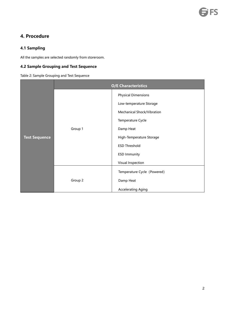# <span id="page-3-0"></span>**4. Procedure**

#### <span id="page-3-1"></span>**4.1 Sampling**

All the samples are selected randomly from storeroom.

#### <span id="page-3-2"></span>**4.2 Sample Grouping and Test Sequence**

Table 2: Sample Grouping and Test Sequence

|                      |         | <b>O/E Characteristics</b>  |
|----------------------|---------|-----------------------------|
|                      |         | <b>Physical Dimensions</b>  |
|                      |         | Low-temperature Storage     |
|                      |         | Mechanical Shock/Vibration  |
|                      |         | Temperature Cycle           |
|                      | Group 1 | Damp Heat                   |
| <b>Test Sequence</b> |         | High-Temperature Storage    |
|                      |         | <b>ESD Threshold</b>        |
|                      |         | <b>ESD Immunity</b>         |
|                      |         | Visual Inspection           |
|                      |         | Temperature Cycle (Powered) |
|                      | Group 2 | Damp Heat                   |
|                      |         | <b>Accelerating Aging</b>   |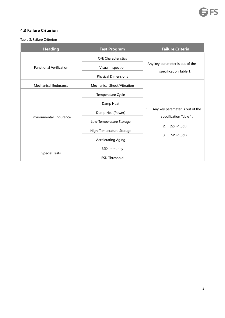#### <span id="page-4-0"></span>**4.3 Failure Criterion**

Table 3: Failure Criterion

| <b>Heading</b>                 | <b>Test Program</b>                                                    | <b>Failure Criteria</b>                                   |  |  |  |
|--------------------------------|------------------------------------------------------------------------|-----------------------------------------------------------|--|--|--|
| <b>Functional Verification</b> | O/E Characteristics<br>Visual Inspection<br><b>Physical Dimensions</b> | Any key parameter is out of the<br>specification Table 1. |  |  |  |
| <b>Mechanical Endurance</b>    | Mechanical Shock/Vibration                                             |                                                           |  |  |  |
|                                | Temperature Cycle                                                      |                                                           |  |  |  |
|                                | Damp Heat                                                              |                                                           |  |  |  |
|                                | Damp Heat(Power)                                                       | Any key parameter is out of the<br>1.                     |  |  |  |
| <b>Environmental Endurance</b> | Low-Temperature Storage                                                | specification Table 1.                                    |  |  |  |
|                                | High-Temperature Storage                                               | $ \Delta S $ > 1.0dB<br>2.                                |  |  |  |
|                                | <b>Accelerating Aging</b>                                              | $ \Delta P $ > 1.0dB<br>3.                                |  |  |  |
|                                | <b>ESD Immunity</b>                                                    |                                                           |  |  |  |
| <b>Special Tests</b>           | <b>ESD Threshold</b>                                                   |                                                           |  |  |  |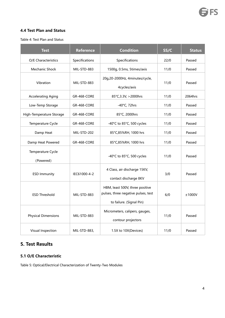#### <span id="page-5-0"></span>**4.4 Test Plan and Status**

Table 4: Test Plan and Status

| <b>Test</b>                    | <b>Reference</b>   | <b>Condition</b>                                                                                   | SS/C | <b>Status</b> |
|--------------------------------|--------------------|----------------------------------------------------------------------------------------------------|------|---------------|
| O/E Characteristics            | Specifications     | Specifications                                                                                     | 22/0 | Passed        |
| Mechanic Shock                 | MIL-STD-883        | 1500g, 0.5ms, 5times/axis                                                                          | 11/0 | Passed        |
| Vibration                      | MIL-STD-883        | 20g,20-2000Hz, 4minutes/cycle,<br>4cycles/axis                                                     | 11/0 | Passed        |
| <b>Accelerating Aging</b>      | GR-468-CORE        | 85°C, 3.3V, > 2000hrs                                                                              | 11/0 | 2064hrs       |
| Low-Temp Storage               | GR-468-CORE        | $-40^{\circ}$ C, 72hrs                                                                             | 11/0 | Passed        |
| High-Temperature Storage       | GR-468-CORE        | 85°C, 2000hrs                                                                                      | 11/0 | Passed        |
| Temperature Cycle              | GR-468-CORE        | -40°C to 85°C, 500 cycles                                                                          | 11/0 | Passed        |
| Damp Heat                      | MIL-STD-202        | 85°C,85%RH, 1000 hrs                                                                               | 11/0 | Passed        |
| Damp Heat Powered              | <b>GR-468-CORE</b> | 85°C,85%RH, 1000 hrs                                                                               | 11/0 | Passed        |
| Temperature Cycle<br>(Powered) |                    | -40°C to 85°C, 500 cycles                                                                          | 11/0 | Passed        |
| <b>ESD Immunity</b>            | IEC61000-4-2       | 4 Class, air discharge 15KV,<br>contact discharge 8KV                                              | 3/0  | Passed        |
| <b>ESD Threshold</b>           | MIL-STD-883        | HBM, least 500V, three positive<br>pulses, three negative pulses, test<br>to failure. (Signal Pin) | 6/0  | ±1000V        |
| <b>Physical Dimensions</b>     | MIL-STD-883        | Micrometers, calipers, gauges,<br>contour projectors                                               | 11/0 | Passed        |
| Visual Inspection              | MIL-STD-883,       | 1.5X to 10X(Devices)                                                                               | 11/0 | Passed        |

# <span id="page-5-1"></span>**5. Test Results**

#### <span id="page-5-2"></span>**5.1 O/E Characteristic**

Table 5: Optical/Electrical Characterization of Twenty-Two Modules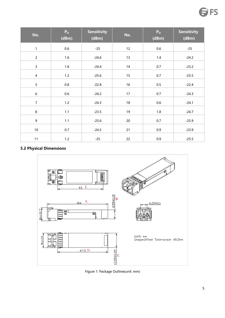| No.            | P <sub>o</sub><br>(dBm) | <b>Sensitivity</b><br>(dBm) | No. | P <sub>o</sub><br>(dBm) | <b>Sensitivity</b><br>(dBm) |
|----------------|-------------------------|-----------------------------|-----|-------------------------|-----------------------------|
| $\mathbf{1}$   | $0.6\,$                 | $-25$                       | 12  | $0.6\,$                 | $-25$                       |
| $\overline{2}$ | 1.6                     | $-24.6$                     | 13  | 1.4                     | $-24.2$                     |
| $\mathsf{3}$   | 1.8                     | $-24.4$                     | 14  | 0.7                     | $-23.2$                     |
| $\overline{4}$ | 1.2                     | $-25.6$                     | 15  | 0.7                     | $-25.5$                     |
| $\overline{5}$ | 0.8                     | $-22.8$                     | 16  | $0.5\,$                 | $-22.4$                     |
| $\sqrt{6}$     | 0.6                     | $-24.2$                     | 17  | 0.7                     | $-24.3$                     |
| $\overline{7}$ | 1.2                     | $-24.3$                     | 18  | 0.6                     | $-24.1$                     |
| $\,8\,$        | 1.1                     | $-23.5$                     | 19  | 1.8                     | $-24.7$                     |
| $\mathsf g$    | 1.1                     | $-25.6$                     | 20  | 0.7                     | $-25.9$                     |
| $10\,$         | 0.7                     | $-24.5$                     | 21  | 0.9                     | $-23.9$                     |
| 11             | 1.2                     | $-25$                       | 22  | $0.9\,$                 | $-25.5$                     |

# <span id="page-6-0"></span>**5.2 Physical Dimensions**



Figure 1: Package Outline(unit:mm)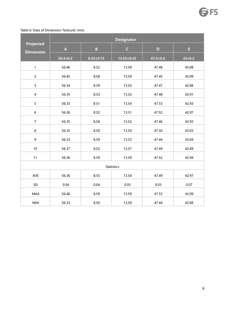#### Table 6: Data of Dimension Test(unit: mm)

|                                      | <b>Designator</b>         |                 |                   |                |              |  |  |  |  |
|--------------------------------------|---------------------------|-----------------|-------------------|----------------|--------------|--|--|--|--|
| <b>Projected</b><br><b>Dimension</b> | $\boldsymbol{\mathsf{A}}$ | $\, {\bf B} \,$ | $\mathsf C$       | $\mathbf D$    | E.           |  |  |  |  |
|                                      | $56.4 \pm 0.2$            | $8.55 \pm 0.15$ | $13.55 \pm 0.25$  | $47.5 \pm 0.2$ | $43 \pm 0.2$ |  |  |  |  |
| $\mathbf{1}$                         | 56.46                     | 8.52            | 13.58             | 47.48          | 43.08        |  |  |  |  |
| $\overline{c}$                       | 56.45                     | 8.58            | 13.59             | 47.45          | 43.09        |  |  |  |  |
| $\overline{3}$                       | 56.34                     | 8.59            | 13.52             | 47.47          | 42.88        |  |  |  |  |
| $\overline{\mathbf{4}}$              | 56.35                     | 8.53            | 13.53             | 47.48          | 42.91        |  |  |  |  |
| 5                                    | 56.33                     | 8.51            | 13.54             | 47.53          | 42.93        |  |  |  |  |
| $\boldsymbol{6}$                     | 56.36                     | 8.52            | 13.51             | 47.52          | 42.97        |  |  |  |  |
| $\overline{7}$                       | 56.35                     | 8.58            | 13.52             | 47.46          | 42.93        |  |  |  |  |
| $\bf 8$                              | 56.35                     | 8.50            | 13.50             | 47.50          | 43.03        |  |  |  |  |
| $\mathsf g$                          | 56.33                     | 8.59            | 13.53             | 47.44          | 43.04        |  |  |  |  |
| $10\,$                               | 56.37                     | 8.52            | 13.57             | 47.49          | 42.89        |  |  |  |  |
| 11                                   | 56.36                     | 8.59            | 13.59             | 47.52          | 42.94        |  |  |  |  |
|                                      |                           |                 | <b>Statistics</b> |                |              |  |  |  |  |
| AVE                                  | 56.36                     | 8.55            | 13.54             | 47.49          | 42.97        |  |  |  |  |
| SD                                   | 0.04                      | 0.04            | 0.03              | 0.03           | 0.07         |  |  |  |  |
| <b>MAX</b>                           | 56.46                     | 8.59            | 13.59             | 47.53          | 43.09        |  |  |  |  |
| <b>MIN</b>                           | 56.33                     | 8.50            | 13.50             | 47.44          | 42.88        |  |  |  |  |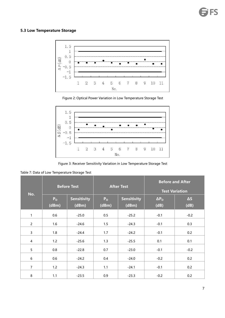#### <span id="page-8-0"></span>**5.3 Low Temperature Storage**



Figure 2: Optical Power Variation in Low Temperature Storage Test



Figure 3: Receiver Sensitivity Variation in Low Temperature Storage Test

Table 7: Data of Low Temperature Storage Test

T.

|                | <b>Before Test</b>      |                             |                         | <b>After Test</b>    | <b>Before and After</b><br><b>Test Variation</b> |                    |
|----------------|-------------------------|-----------------------------|-------------------------|----------------------|--------------------------------------------------|--------------------|
| No.            | P <sub>o</sub><br>(dBm) | <b>Sensitivity</b><br>(dBm) | P <sub>o</sub><br>(dBm) | Sensitivity<br>(dBm) | $\Delta P_{O}$<br>(dB)                           | $\Delta S$<br>(dB) |
| 1              | 0.6                     | $-25.0$                     | 0.5                     | $-25.2$              | $-0.1$                                           | $-0.2$             |
| $\overline{2}$ | 1.6                     | $-24.6$                     | 1.5                     | $-24.3$              | $-0.1$                                           | 0.3                |
| 3              | 1.8                     | $-24.4$                     | 1.7                     | $-24.2$              | $-0.1$                                           | 0.2                |
| 4              | 1.2                     | $-25.6$                     | 1.3                     | $-25.5$              | 0.1                                              | 0.1                |
| 5              | 0.8                     | $-22.8$                     | 0.7                     | $-23.0$              | $-0.1$                                           | $-0.2$             |
| 6              | 0.6                     | $-24.2$                     | 0.4                     | $-24.0$              | $-0.2$                                           | 0.2                |
| $\overline{7}$ | 1.2                     | $-24.3$                     | 1.1                     | $-24.1$              | $-0.1$                                           | 0.2                |
| 8              | 1.1                     | $-23.5$                     | 0.9                     | $-23.3$              | $-0.2$                                           | 0.2                |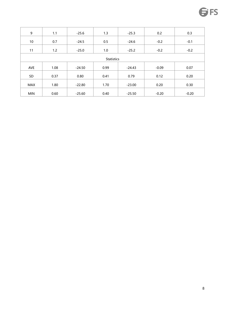| 9          | 1.1  | $-25.6$  | 1.3               | $-25.3$  | 0.2     | 0.3     |
|------------|------|----------|-------------------|----------|---------|---------|
|            |      |          |                   |          |         |         |
| 10         | 0.7  | $-24.5$  | 0.5               | $-24.6$  | $-0.2$  | $-0.1$  |
| 11         | 1.2  | $-25.0$  | 1.0               | $-25.2$  | $-0.2$  | $-0.2$  |
|            |      |          | <b>Statistics</b> |          |         |         |
|            |      |          |                   |          |         |         |
| AVE        | 1.08 | $-24.50$ | 0.99              | $-24.43$ | $-0.09$ | 0.07    |
| SD         | 0.37 | 0.80     | 0.41              | 0.79     | 0.12    | 0.20    |
| MAX        | 1.80 | $-22.80$ | 1.70              | $-23.00$ | 0.20    | 0.30    |
| <b>MIN</b> | 0.60 | $-25.60$ | 0.40              | $-25.50$ | $-0.20$ | $-0.20$ |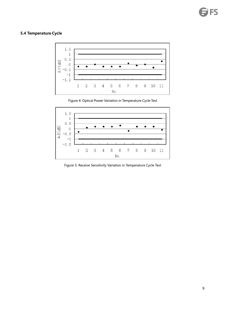#### <span id="page-10-0"></span>**5.4 Temperature Cycle**



Figure 4: Optical Power Variation in Temperature Cycle Test



Figure 5: Receive Sensitivity Variation in Temperature Cycle Test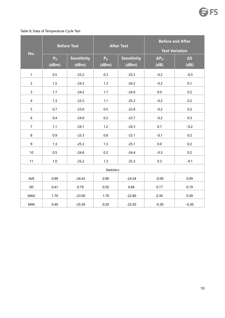#### Table 8: Data of Temperature Cycle Test

|                 |                | <b>Before Test</b> |                   | <b>After Test</b>  | <b>Before and After</b> |            |  |
|-----------------|----------------|--------------------|-------------------|--------------------|-------------------------|------------|--|
| No.             |                |                    |                   |                    | <b>Test Variation</b>   |            |  |
|                 | P <sub>o</sub> | <b>Sensitivity</b> | P <sub>o</sub>    | <b>Sensitivity</b> | $\Delta P_{O}$          | $\Delta S$ |  |
|                 | (dBm)          | (dBm)              | (dBm)             | (dBm)              | (dB)                    | (dB)       |  |
| $\mathbf{1}$    | 0.5            | $-25.2$            | 0.3               | $-25.5$            | $-0.2$                  | $-0.3$     |  |
| $\overline{c}$  | 1.5            | $-24.3$            | 1.3               | $-24.2$            | $-0.2$                  | 0.1        |  |
| $\overline{3}$  | 1.7            | $-24.2$            | 1.7               | $-24.0$            | 0.0                     | 0.2        |  |
| $\overline{4}$  | 1.3            | $-25.5$            | 1.1               | $-25.3$            | $-0.2$                  | 0.2        |  |
| 5               | 0.7            | $-23.0$            | 0.5               | $-22.8$            | $-0.2$                  | 0.2        |  |
| 6               | 0.4            | $-24.0$            | 0.2               | $-23.7$            | $-0.2$                  | 0.3        |  |
| $\overline{7}$  | 1.1            | $-24.1$            | 1.2               | $-24.3$            | 0.1                     | $-0.2$     |  |
| 8               | 0.9            | $-23.3$            | $0.8\,$           | $-23.1$            | $-0.1$                  | 0.2        |  |
| 9               | 1.3            | $-25.3$            | 1.3               | $-25.1$            | $0.0\,$                 | 0.2        |  |
| 10 <sup>°</sup> | 0.5            | $-24.6$            | 0.2               | $-24.4$            | $-0.3$                  | 0.2        |  |
| 11              | 1.0            | $-25.2$            | 1.3               | $-25.3$            | 0.3                     | $-0.1$     |  |
|                 |                |                    | <b>Statistics</b> |                    |                         |            |  |
| AVE             | 0.99           | $-24.43$           | 0.90              | $-24.34$           | $-0.09$                 | 0.09       |  |
| SD              | 0.41           | 0.79               | 0.50              | 0.86               | 0.17                    | 0.19       |  |
| MAX             | 1.70           | $-23.00$           | 1.70              | $-22.80$           | 0.30                    | 0.30       |  |
| <b>MIN</b>      | 0.40           | $-25.50$           | 0.20              | $-25.50$           | $-0.30$                 | $-0.30$    |  |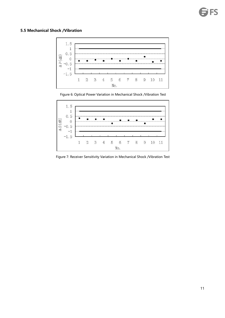# <span id="page-12-0"></span>**5.5 Mechanical Shock /Vibration**







Figure 7: Receiver Sensitivity Variation in Mechanical Shock /Vibration Test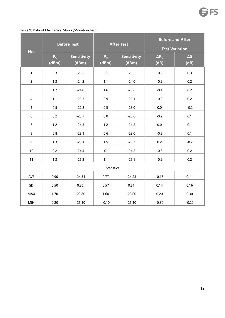| No.              | <b>Before Test</b> |                    | <b>After Test</b> |                    | <b>Before and After</b><br><b>Test Variation</b> |            |
|------------------|--------------------|--------------------|-------------------|--------------------|--------------------------------------------------|------------|
|                  | P <sub>o</sub>     | <b>Sensitivity</b> | P <sub>o</sub>    | <b>Sensitivity</b> | $\Delta P_{O}$                                   | $\Delta S$ |
|                  | (dBm)              | (dBm)              | (dBm)             | (dBm)              | (dB)                                             | (dB)       |
| $\mathbf{1}$     | 0.3                | $-25.5$            | 0.1               | $-25.2$            | $-0.2$                                           | 0.3        |
| $\overline{2}$   | 1.3                | $-24.2$            | 1.1               | $-24.0$            | $-0.2$                                           | 0.2        |
| $\mathbf{3}$     | 1.7                | $-24.0$            | 1.6               | $-23.8$            | $-0.1$                                           | 0.2        |
| $\overline{4}$   | $1.1$              | $-25.3$            | 0.9               | $-25.1$            | $-0.2$                                           | 0.2        |
| 5                | 0.5                | $-22.8$            | 0.5               | $-23.0$            | $0.0\,$                                          | $-0.2$     |
| $\boldsymbol{6}$ | 0.2                | $-23.7$            | 0.0               | $-23.6$            | $-0.2$                                           | 0.1        |
| $\overline{7}$   | 1.2                | $-24.3$            | 1.2               | $-24.2$            | $0.0\,$                                          | 0.1        |
| 8                | 0.8                | $-23.1$            | 0.6               | $-23.0$            | $-0.2$                                           | 0.1        |
| 9                | 1.3                | $-25.1$            | 1.5               | $-25.3$            | 0.2                                              | $-0.2$     |
| 10               | 0.2                | $-24.4$            | $-0.1$            | $-24.2$            | $-0.3$                                           | 0.2        |
| 11               | 1.3                | $-25.3$            | 1.1               | $-25.1$            | $-0.2$                                           | 0.2        |
|                  |                    |                    | <b>Statistics</b> |                    |                                                  |            |
| AVE              | 0.90               | $-24.34$           | 0.77              | $-24.23$           | $-0.13$                                          | 0.11       |
| $\mathsf{SD}$    | 0.50               | 0.86               | 0.57              | 0.81               | 0.14                                             | 0.16       |
| MAX              | 1.70               | $-22.80$           | 1.60              | $-23.00$           | 0.20                                             | 0.30       |
| MIN              | 0.20               | $-25.50$           | $-0.10$           | $-25.30$           | $-0.30$                                          | $-0.20$    |

#### Table 9: Data of Mechanical Shock /Vibration Test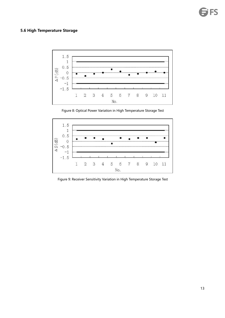#### <span id="page-14-0"></span>**5.6 High Temperature Storage**



Figure 8: Optical Power Variation in High Temperature Storage Test



Figure 9: Receiver Sensitivity Variation in High Temperature Storage Test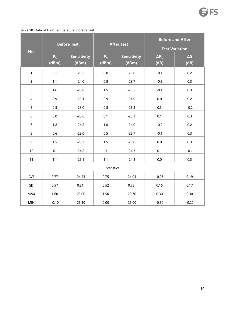#### Table 10: Data of High Temperature Storage Test

| No.              | <b>Before Test</b>      |                             |                         | <b>After Test</b>           | <b>Before and After</b><br><b>Test Variation</b> |                    |
|------------------|-------------------------|-----------------------------|-------------------------|-----------------------------|--------------------------------------------------|--------------------|
|                  | P <sub>o</sub><br>(dBm) | <b>Sensitivity</b><br>(dBm) | P <sub>o</sub><br>(dBm) | <b>Sensitivity</b><br>(dBm) | $\Delta P_{O}$<br>(dB)                           | $\Delta S$<br>(dB) |
| $\mathbf{1}$     | 0.1                     | $-25.2$                     | 0.0                     | $-25.0$                     | $-0.1$                                           | 0.2                |
| $\overline{2}$   | 1.1                     | $-24.0$                     | 0.8                     | $-23.7$                     | $-0.3$                                           | 0.3                |
| $\mathbf{3}$     | 1.6                     | $-23.8$                     | $1.5\,$                 | $-23.5$                     | $-0.1$                                           | 0.3                |
| $\overline{4}$   | 0.9                     | $-25.1$                     | 0.9                     | $-24.9$                     | $0.0\,$                                          | 0.2                |
| 5 <sub>5</sub>   | 0.5                     | $-23.0$                     | $0.8\,$                 | $-23.2$                     | 0.3                                              | $-0.2$             |
| $\boldsymbol{6}$ | 0.0                     | $-23.6$                     | 0.1                     | $-23.3$                     | 0.1                                              | 0.3                |
| $\overline{7}$   | 1.2                     | $-24.2$                     | 1.0                     | $-24.0$                     | $-0.2$                                           | 0.2                |
| 8                | 0.6                     | $-23.0$                     | 0.5                     | $-22.7$                     | $-0.1$                                           | 0.3                |
| 9                | 1.5                     | $-25.3$                     | 1.5                     | $-25.0$                     | $0.0\,$                                          | 0.3                |
| $10\,$           | $-0.1$                  | $-24.2$                     | $\pmb{0}$               | $-24.3$                     | 0.1                                              | $-0.1$             |
| 11               | 1.1                     | $-25.1$                     | 1.1                     | $-24.8$                     | 0.0                                              | 0.3                |
|                  |                         |                             | <b>Statistics</b>       |                             |                                                  |                    |
| AVE              | 0.77                    | $-24.23$                    | 0.75                    | $-24.04$                    | $-0.03$                                          | 0.19               |
| $\mathsf{SD}$    | 0.57                    | 0.81                        | 0.52                    | 0.78                        | 0.15                                             | 0.17               |
| MAX              | 1.60                    | $-23.00$                    | 1.50                    | $-22.70$                    | 0.30                                             | 0.30               |
| <b>MIN</b>       | $-0.10$                 | $-25.30$                    | 0.00                    | $-25.00$                    | $-0.30$                                          | $-0.20$            |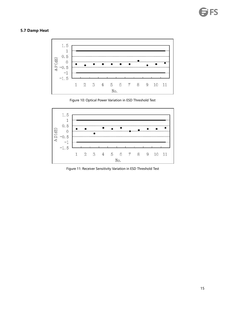#### <span id="page-16-0"></span>**5.7 Damp Heat**



Figure 10: Optical Power Variation in ESD Threshold Test



Figure 11: Receiver Sensitivity Variation in ESD Threshold Test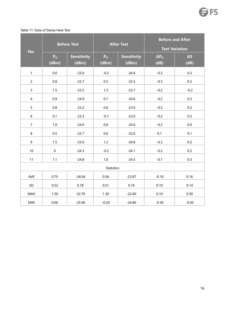#### Table 11: Data of Damp Heat Test

| No.             |                         | <b>Before Test</b>          |                         | <b>After Test</b>           | <b>Test Variation</b>  | <b>Before and After</b> |
|-----------------|-------------------------|-----------------------------|-------------------------|-----------------------------|------------------------|-------------------------|
|                 | P <sub>o</sub><br>(dBm) | <b>Sensitivity</b><br>(dBm) | P <sub>o</sub><br>(dBm) | <b>Sensitivity</b><br>(dBm) | $\Delta P_{O}$<br>(dB) | $\Delta S$<br>(dB)      |
| $\mathbf{1}$    | 0.0                     | $-25.0$                     | $-0.2$                  | $-24.8$                     | $-0.2$                 | 0.2                     |
| $\overline{2}$  | 0.8                     | $-23.7$                     | 0.5                     | $-23.5$                     | $-0.3$                 | 0.2                     |
| $\mathbf{3}$    | 1.5                     | $-23.5$                     | 1.3                     | $-23.7$                     | $-0.2$                 | $-0.2$                  |
| $\overline{4}$  | 0.9                     | $-24.9$                     | 0.7                     | $-24.6$                     | $-0.2$                 | 0.3                     |
| 5               | 0.8                     | $-23.2$                     | 0.6                     | $-23.0$                     | $-0.2$                 | 0.2                     |
| $6\phantom{.}6$ | 0.1                     | $-23.3$                     | $-0.1$                  | $-23.0$                     | $-0.2$                 | 0.3                     |
| $\overline{7}$  | 1.0                     | $-24.0$                     | $0.8\,$                 | $-24.0$                     | $-0.2$                 | 0.0                     |
| 8               | $0.5\,$                 | $-22.7$                     | 0.6                     | $-22.6$                     | 0.1                    | 0.1                     |
| 9               | 1.5                     | $-25.0$                     | $1.2$                   | $-24.8$                     | $-0.3$                 | 0.2                     |
| 10              | $\mathbf 0$             | $-24.3$                     | $-0.2$                  | $-24.1$                     | $-0.2$                 | 0.2                     |
| 11              | 1.1                     | $-24.8$                     | 1.0                     | $-24.5$                     | $-0.1$                 | 0.3                     |
|                 |                         |                             | <b>Statistics</b>       |                             |                        |                         |
| AVE             | 0.75                    | $-24.04$                    | 0.56                    | $-23.87$                    | $-0.18$                | 0.16                    |
| SD              | 0.52                    | 0.78                        | 0.51                    | 0.74                        | 0.10                   | 0.14                    |
| MAX             | 1.50                    | $-22.70$                    | 1.30                    | $-22.60$                    | 0.10                   | 0.30                    |
| MIN             | 0.00                    | $-25.00$                    | $-0.20$                 | $-24.80$                    | $-0.30$                | $-0.20$                 |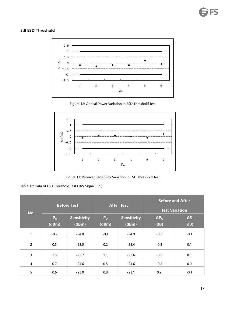#### <span id="page-18-0"></span>**5.8 ESD Threshold**



Figure 12: Optical Power Variation in ESD Threshold Test



Figure 13: Receiver Sensitivity Variation in ESD Threshold Test

Table 12: Data of ESD Threshold Test (1KV Signal Pin )

| No.            |                         | <b>Before Test</b>          |                         | <b>After Test</b>           |                            | <b>Before and After</b><br><b>Test Variation</b> |
|----------------|-------------------------|-----------------------------|-------------------------|-----------------------------|----------------------------|--------------------------------------------------|
|                | P <sub>o</sub><br>(dBm) | <b>Sensitivity</b><br>(dBm) | P <sub>o</sub><br>(dBm) | <b>Sensitivity</b><br>(dBm) | $\Delta P_{\rm O}$<br>(dB) | $\Delta S$<br>(dB)                               |
| 1              | $-0.2$                  | $-24.8$                     | $-0.4$                  | $-24.9$                     | $-0.2$                     | $-0.1$                                           |
| $\overline{2}$ | 0.5                     | $-23.5$                     | 0.2                     | $-23.4$                     | $-0.3$                     | 0.1                                              |
| 3              | 1.3                     | $-23.7$                     | 1.1                     | $-23.6$                     | $-0.2$                     | 0.1                                              |
| 4              | 0.7                     | $-24.6$                     | 0.5                     | $-24.6$                     | $-0.2$                     | 0.0                                              |
| 5              | 0.6                     | $-23.0$                     | 0.8                     | $-23.1$                     | 0.2                        | $-0.1$                                           |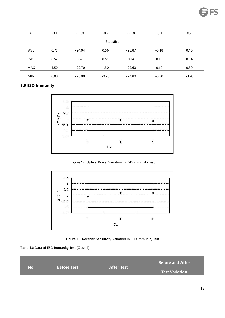| 6          | $-0.1$ | $-23.0$  | $-0.2$            | $-22.8$  | $-0.1$  | 0.2  |
|------------|--------|----------|-------------------|----------|---------|------|
|            |        |          | <b>Statistics</b> |          |         |      |
| <b>AVE</b> | 0.75   | $-24.04$ | 0.56              | $-23.87$ | $-0.18$ | 0.16 |
| SD         | 0.52   | 0.78     | 0.51              | 0.74     | 0.10    | 0.14 |
| <b>MAX</b> | 1.50   | $-22.70$ | 1.30              | $-22.60$ | 0.10    | 0.30 |
|            |        |          |                   |          |         |      |

MIN 0.00 -25.00 -0.20 -24.80 -0.30 -0.20 -0.20

#### <span id="page-19-0"></span>**5.9 ESD Immunity**



Figure 14: Optical Power Variation in ESD Immunity Test





Table 13: Data of ESD Immunity Test (Class 4)

| <b>Before Test</b><br><b>After Test</b><br>No.<br><b>Test Variation</b> |  |  |  | <b>Before and After</b> |
|-------------------------------------------------------------------------|--|--|--|-------------------------|
|-------------------------------------------------------------------------|--|--|--|-------------------------|

**FS**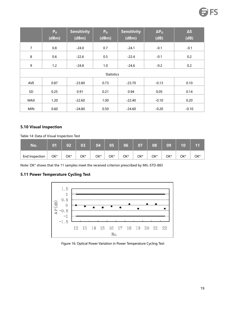|                | P <sub>o</sub><br>(dBm) | <b>Sensitivity</b><br>(dBm) | P <sub>o</sub><br>(dBm) | <b>Sensitivity</b><br>(dBm) | $\Delta P_{O}$<br>(dB) | $\Delta S$<br>(dB) |
|----------------|-------------------------|-----------------------------|-------------------------|-----------------------------|------------------------|--------------------|
|                |                         |                             |                         |                             |                        |                    |
| $\overline{7}$ | 0.8                     | $-24.0$                     | 0.7                     | $-24.1$                     | $-0.1$                 | $-0.1$             |
| 8              | 0.6                     | $-22.6$                     | 0.5                     | $-22.4$                     | $-0.1$                 | 0.2                |
| 9              | 1.2                     | $-24.8$                     | 1.0                     | $-24.6$                     | $-0.2$                 | 0.2                |
|                |                         |                             | <b>Statistics</b>       |                             |                        |                    |
| <b>AVE</b>     | 0.87                    | $-23.80$                    | 0.73                    | $-23.70$                    | $-0.13$                | 0.10               |
| SD             | 0.25                    | 0.91                        | 0.21                    | 0.94                        | 0.05                   | 0.14               |
| MAX            | 1.20                    | $-22.60$                    | 1.00                    | $-22.40$                    | $-0.10$                | 0.20               |
| <b>MIN</b>     | 0.60                    | $-24.80$                    | 0.50                    | $-24.60$                    | $-0.20$                | $-0.10$            |

# <span id="page-20-0"></span>**5.10 Visual Inspection**

Table 14: Data of Visual Inspection Test

| No.            | 01  | 02  | 03  | 04  | 05  | 06  | 07  | 08  | 09  | 10  | 11  |
|----------------|-----|-----|-----|-----|-----|-----|-----|-----|-----|-----|-----|
| End Inspection | OK* | OK* | OK* | OK* | OK* | OK* | OK* | OK* | OK* | OK* | OK* |

Note: OK\* shows that the 11 samples meet the received criterion prescribed by MIL-STD-883

#### <span id="page-20-1"></span>**5.11 Power Temperature Cycling Test**



#### Figure 16: Optical Power Variation in Power Temperature Cycling Test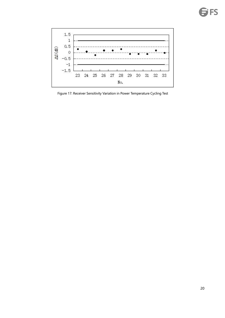

Figure 17: Receiver Sensitivity Variation in Power Temperature Cycling Test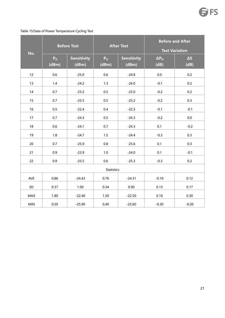#### Table 15:Data of Power Temperature Cycling Test

<span id="page-22-0"></span>

|            |                         | <b>Before Test</b>          |                         | <b>After Test</b>           |                        | <b>Before and After</b><br><b>Test Variation</b> |
|------------|-------------------------|-----------------------------|-------------------------|-----------------------------|------------------------|--------------------------------------------------|
| No.        | P <sub>o</sub><br>(dBm) | <b>Sensitivity</b><br>(dBm) | P <sub>o</sub><br>(dBm) | <b>Sensitivity</b><br>(dBm) | $\Delta P_{O}$<br>(dB) | $\Delta S$<br>(dB)                               |
| 12         | 0.6                     | $-25.0$                     | 0.6                     | $-24.8$                     | 0.0                    | 0.2                                              |
| 13         | 1.4                     | $-24.2$                     | 1.3                     | $-24.0$                     | $-0.1$                 | 0.2                                              |
| 14         | 0.7                     | $-23.2$                     | 0.5                     | $-23.0$                     | $-0.2$                 | 0.2                                              |
| 15         | 0.7                     | $-25.5$                     | 0.5                     | $-25.2$                     | $-0.2$                 | 0.3                                              |
| 16         | 0.5                     | $-22.4$                     | 0.4                     | $-22.5$                     | $-0.1$                 | $-0.1$                                           |
| 17         | 0.7                     | $-24.3$                     | 0.5                     | $-24.3$                     | $-0.2$                 | $0.0\,$                                          |
| 18         | 0.6                     | $-24.1$                     | 0.7                     | $-24.3$                     | 0.1                    | $-0.2$                                           |
| 19         | 1.8                     | $-24.7$                     | 1.5                     | $-24.4$                     | $-0.3$                 | 0.3                                              |
| 20         | 0.7                     | $-25.9$                     | $0.8\,$                 | $-25.6$                     | 0.1                    | 0.3                                              |
| 21         | 0.9                     | $-23.9$                     | $1.0\,$                 | $-24.0$                     | 0.1                    | $-0.1$                                           |
| 22         | 0.9                     | $-25.5$                     | 0.6                     | $-25.3$                     | $-0.3$                 | 0.2                                              |
|            |                         |                             | <b>Statistics</b>       |                             |                        |                                                  |
| AVE        | 0.86                    | $-24.43$                    | 0.76                    | $-24.31$                    | $-0.10$                | 0.12                                             |
| SD         | 0.37                    | 1.00                        | 0.34                    | 0.90                        | 0.15                   | 0.17                                             |
| MAX        | 1.80                    | $-22.40$                    | 1.50                    | $-22.50$                    | 0.10                   | 0.30                                             |
| <b>MIN</b> | 0.50                    | $-25.90$                    | 0.40                    | $-25.60$                    | $-0.30$                | $-0.20$                                          |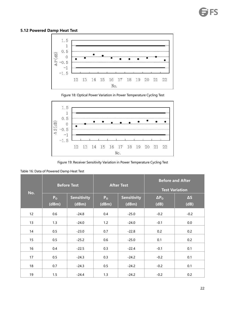# **5.12 Powered Damp Heat Test**



Figure 18: Optical Power Variation in Power Temperature Cycling Test



Figure 19: Receiver Sensitivity Variation in Power Temperature Cycling Test

| Table 16: Data of Powered Damp Heat Test |  |  |  |
|------------------------------------------|--|--|--|
|                                          |  |  |  |

|     |                         | <b>Before Test</b>          |                         | <b>After Test</b>           | <b>Before and After</b><br><b>Test Variation</b> |                    |
|-----|-------------------------|-----------------------------|-------------------------|-----------------------------|--------------------------------------------------|--------------------|
| No. | P <sub>o</sub><br>(dBm) | <b>Sensitivity</b><br>(dBm) | P <sub>o</sub><br>(dBm) | <b>Sensitivity</b><br>(dBm) | $\Delta P_{O}$<br>(dB)                           | $\Delta S$<br>(dB) |
| 12  | 0.6                     | $-24.8$                     | 0.4                     | $-25.0$                     | $-0.2$                                           | $-0.2$             |
| 13  | 1.3                     | $-24.0$                     | 1.2                     | $-24.0$                     | $-0.1$                                           | 0.0                |
| 14  | $0.5\,$                 | $-23.0$                     | 0.7                     | $-22.8$                     | 0.2                                              | 0.2                |
| 15  | $0.5\,$                 | $-25.2$                     | 0.6                     | $-25.0$                     | 0.1                                              | 0.2                |
| 16  | 0.4                     | $-22.5$                     | 0.3                     | $-22.4$                     | $-0.1$                                           | 0.1                |
| 17  | $0.5\,$                 | $-24.3$                     | 0.3                     | $-24.2$                     | $-0.2$                                           | 0.1                |
| 18  | 0.7                     | $-24.3$                     | 0.5                     | $-24.2$                     | $-0.2$                                           | 0.1                |
| 19  | 1.5                     | $-24.4$                     | 1.3                     | $-24.2$                     | $-0.2$                                           | 0.2                |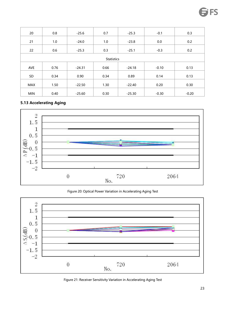| 20         | 0.8  | $-25.6$  | 0.7               | $-25.3$  | $-0.1$  | 0.3     |
|------------|------|----------|-------------------|----------|---------|---------|
| 21         | 1.0  | $-24.0$  | 1.0               | $-23.8$  | 0.0     | 0.2     |
|            |      |          |                   |          |         |         |
| 22         | 0.6  | $-25.3$  | 0.3               | $-25.1$  | $-0.3$  | 0.2     |
|            |      |          |                   |          |         |         |
|            |      |          | <b>Statistics</b> |          |         |         |
|            |      |          |                   |          |         |         |
| AVE        | 0.76 | $-24.31$ | 0.66              | $-24.18$ | $-0.10$ | 0.13    |
|            |      |          |                   |          |         |         |
| SD         | 0.34 | 0.90     | 0.34              | 0.89     | 0.14    | 0.13    |
|            |      |          |                   |          |         |         |
| MAX        | 1.50 | $-22.50$ | 1.30              | $-22.40$ | 0.20    | 0.30    |
|            |      |          |                   |          |         |         |
| <b>MIN</b> | 0.40 | $-25.60$ | 0.30              | $-25.30$ | $-0.30$ | $-0.20$ |

#### <span id="page-24-0"></span>**5.13 Accelerating Aging**



Figure 20: Optical Power Variation in Accelerating Aging Test



Figure 21: Receiver Sensitivity Variation in Accelerating Aging Test